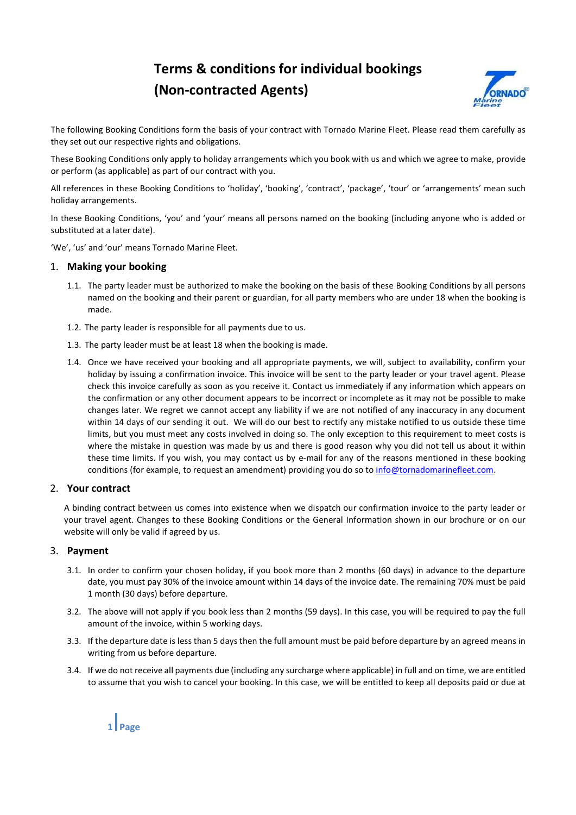

The following Booking Conditions form the basis of your contract with Tornado Marine Fleet. Please read them carefully as they set out our respective rights and obligations.

These Booking Conditions only apply to holiday arrangements which you book with us and which we agree to make, provide or perform (as applicable) as part of our contract with you.

All references in these Booking Conditions to 'holiday', 'booking', 'contract', 'package', 'tour' or 'arrangements' mean such holiday arrangements.

In these Booking Conditions, 'you' and 'your' means all persons named on the booking (including anyone who is added or substituted at a later date).

'We', 'us' and 'our' means Tornado Marine Fleet.

#### 1. Making your booking

- 1.1. The party leader must be authorized to make the booking on the basis of these Booking Conditions by all persons named on the booking and their parent or guardian, for all party members who are under 18 when the booking is made.
- 1.2. The party leader is responsible for all payments due to us.
- 1.3. The party leader must be at least 18 when the booking is made.
- 1.4. Once we have received your booking and all appropriate payments, we will, subject to availability, confirm your holiday by issuing a confirmation invoice. This invoice will be sent to the party leader or your travel agent. Please check this invoice carefully as soon as you receive it. Contact us immediately if any information which appears on the confirmation or any other document appears to be incorrect or incomplete as it may not be possible to make changes later. We regret we cannot accept any liability if we are not notified of any inaccuracy in any document within 14 days of our sending it out. We will do our best to rectify any mistake notified to us outside these time limits, but you must meet any costs involved in doing so. The only exception to this requirement to meet costs is where the mistake in question was made by us and there is good reason why you did not tell us about it within these time limits. If you wish, you may contact us by e-mail for any of the reasons mentioned in these booking conditions (for example, to request an amendment) providing you do so to info@tornadomarinefleet.com.

### 2. Your contract

A binding contract between us comes into existence when we dispatch our confirmation invoice to the party leader or your travel agent. Changes to these Booking Conditions or the General Information shown in our brochure or on our website will only be valid if agreed by us.

#### 3. Payment

- 3.1. In order to confirm your chosen holiday, if you book more than 2 months (60 days) in advance to the departure date, you must pay 30% of the invoice amount within 14 days of the invoice date. The remaining 70% must be paid 1 month (30 days) before departure.
- 3.2. The above will not apply if you book less than 2 months (59 days). In this case, you will be required to pay the full amount of the invoice, within 5 working days.
- 3.3. If the departure date is less than 5 days then the full amount must be paid before departure by an agreed means in writing from us before departure.
- 3.4. If we do not receive all payments due (including any surcharge where applicable) in full and on time, we are entitled to assume that you wish to cancel your booking. In this case, we will be entitled to keep all deposits paid or due at

 $1$  Page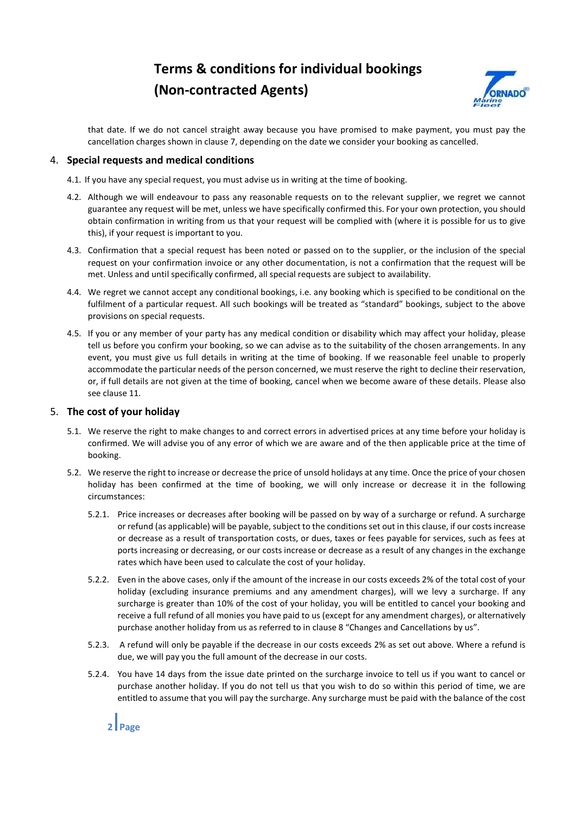

that date. If we do not cancel straight away because you have promised to make payment, you must pay the cancellation charges shown in clause 7, depending on the date we consider your booking as cancelled.

## 4. Special requests and medical conditions

- 4.1. If you have any special request, you must advise us in writing at the time of booking.
- 4.2. Although we will endeavour to pass any reasonable requests on to the relevant supplier, we regret we cannot guarantee any request will be met, unless we have specifically confirmed this. For your own protection, you should obtain confirmation in writing from us that your request will be complied with (where it is possible for us to give this), if your request is important to you.
- 4.3. Confirmation that a special request has been noted or passed on to the supplier, or the inclusion of the special request on your confirmation invoice or any other documentation, is not a confirmation that the request will be met. Unless and until specifically confirmed, all special requests are subject to availability.
- 4.4. We regret we cannot accept any conditional bookings, i.e. any booking which is specified to be conditional on the fulfilment of a particular request. All such bookings will be treated as "standard" bookings, subject to the above provisions on special requests.
- 4.5. If you or any member of your party has any medical condition or disability which may affect your holiday, please tell us before you confirm your booking, so we can advise as to the suitability of the chosen arrangements. In any event, you must give us full details in writing at the time of booking. If we reasonable feel unable to properly accommodate the particular needs of the person concerned, we must reserve the right to decline their reservation, or, if full details are not given at the time of booking, cancel when we become aware of these details. Please also see clause 11.

## 5. The cost of your holiday

2 Page

- 5.1. We reserve the right to make changes to and correct errors in advertised prices at any time before your holiday is confirmed. We will advise you of any error of which we are aware and of the then applicable price at the time of booking.
- 5.2. We reserve the right to increase or decrease the price of unsold holidays at any time. Once the price of your chosen holiday has been confirmed at the time of booking, we will only increase or decrease it in the following circumstances:
	- 5.2.1. Price increases or decreases after booking will be passed on by way of a surcharge or refund. A surcharge or refund (as applicable) will be payable, subject to the conditions set out in this clause, if our costs increase or decrease as a result of transportation costs, or dues, taxes or fees payable for services, such as fees at ports increasing or decreasing, or our costs increase or decrease as a result of any changes in the exchange rates which have been used to calculate the cost of your holiday.
	- 5.2.2. Even in the above cases, only if the amount of the increase in our costs exceeds 2% of the total cost of your holiday (excluding insurance premiums and any amendment charges), will we levy a surcharge. If any surcharge is greater than 10% of the cost of your holiday, you will be entitled to cancel your booking and receive a full refund of all monies you have paid to us (except for any amendment charges), or alternatively purchase another holiday from us as referred to in clause 8 "Changes and Cancellations by us".
	- 5.2.3. A refund will only be payable if the decrease in our costs exceeds 2% as set out above. Where a refund is due, we will pay you the full amount of the decrease in our costs.
	- 5.2.4. You have 14 days from the issue date printed on the surcharge invoice to tell us if you want to cancel or purchase another holiday. If you do not tell us that you wish to do so within this period of time, we are entitled to assume that you will pay the surcharge. Any surcharge must be paid with the balance of the cost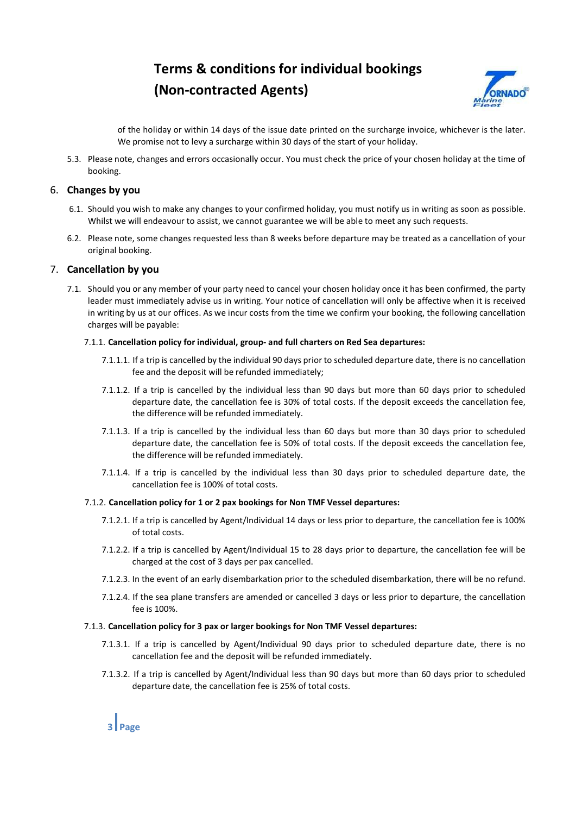

of the holiday or within 14 days of the issue date printed on the surcharge invoice, whichever is the later. We promise not to levy a surcharge within 30 days of the start of your holiday.

5.3. Please note, changes and errors occasionally occur. You must check the price of your chosen holiday at the time of booking.

### 6. Changes by you

- 6.1. Should you wish to make any changes to your confirmed holiday, you must notify us in writing as soon as possible. Whilst we will endeavour to assist, we cannot guarantee we will be able to meet any such requests.
- 6.2. Please note, some changes requested less than 8 weeks before departure may be treated as a cancellation of your original booking.

#### 7. Cancellation by you

7.1. Should you or any member of your party need to cancel your chosen holiday once it has been confirmed, the party leader must immediately advise us in writing. Your notice of cancellation will only be affective when it is received in writing by us at our offices. As we incur costs from the time we confirm your booking, the following cancellation charges will be payable:

#### 7.1.1. Cancellation policy for individual, group- and full charters on Red Sea departures:

- 7.1.1.1. If a trip is cancelled by the individual 90 days prior to scheduled departure date, there is no cancellation fee and the deposit will be refunded immediately;
- 7.1.1.2. If a trip is cancelled by the individual less than 90 days but more than 60 days prior to scheduled departure date, the cancellation fee is 30% of total costs. If the deposit exceeds the cancellation fee, the difference will be refunded immediately.
- 7.1.1.3. If a trip is cancelled by the individual less than 60 days but more than 30 days prior to scheduled departure date, the cancellation fee is 50% of total costs. If the deposit exceeds the cancellation fee, the difference will be refunded immediately.
- 7.1.1.4. If a trip is cancelled by the individual less than 30 days prior to scheduled departure date, the cancellation fee is 100% of total costs.

#### 7.1.2. Cancellation policy for 1 or 2 pax bookings for Non TMF Vessel departures:

- 7.1.2.1. If a trip is cancelled by Agent/Individual 14 days or less prior to departure, the cancellation fee is 100% of total costs.
- 7.1.2.2. If a trip is cancelled by Agent/Individual 15 to 28 days prior to departure, the cancellation fee will be charged at the cost of 3 days per pax cancelled.
- 7.1.2.3. In the event of an early disembarkation prior to the scheduled disembarkation, there will be no refund.
- 7.1.2.4. If the sea plane transfers are amended or cancelled 3 days or less prior to departure, the cancellation fee is 100%.

#### 7.1.3. Cancellation policy for 3 pax or larger bookings for Non TMF Vessel departures:

- 7.1.3.1. If a trip is cancelled by Agent/Individual 90 days prior to scheduled departure date, there is no cancellation fee and the deposit will be refunded immediately.
- 7.1.3.2. If a trip is cancelled by Agent/Individual less than 90 days but more than 60 days prior to scheduled departure date, the cancellation fee is 25% of total costs.

3 Page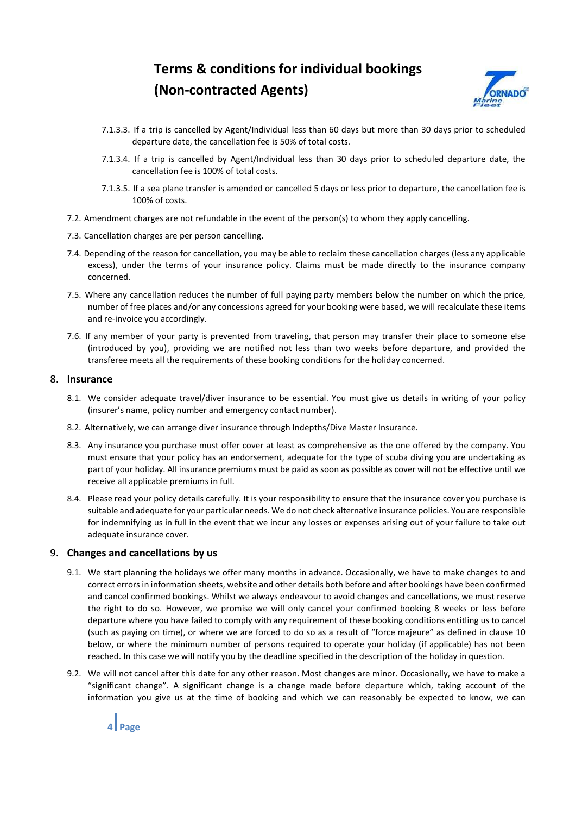

- 7.1.3.3. If a trip is cancelled by Agent/Individual less than 60 days but more than 30 days prior to scheduled departure date, the cancellation fee is 50% of total costs.
- 7.1.3.4. If a trip is cancelled by Agent/Individual less than 30 days prior to scheduled departure date, the cancellation fee is 100% of total costs.
- 7.1.3.5. If a sea plane transfer is amended or cancelled 5 days or less prior to departure, the cancellation fee is 100% of costs.
- 7.2. Amendment charges are not refundable in the event of the person(s) to whom they apply cancelling.
- 7.3. Cancellation charges are per person cancelling.
- 7.4. Depending of the reason for cancellation, you may be able to reclaim these cancellation charges (less any applicable excess), under the terms of your insurance policy. Claims must be made directly to the insurance company concerned.
- 7.5. Where any cancellation reduces the number of full paying party members below the number on which the price, number of free places and/or any concessions agreed for your booking were based, we will recalculate these items and re-invoice you accordingly.
- 7.6. If any member of your party is prevented from traveling, that person may transfer their place to someone else (introduced by you), providing we are notified not less than two weeks before departure, and provided the transferee meets all the requirements of these booking conditions for the holiday concerned.

#### 8. Insurance

- 8.1. We consider adequate travel/diver insurance to be essential. You must give us details in writing of your policy (insurer's name, policy number and emergency contact number).
- 8.2. Alternatively, we can arrange diver insurance through Indepths/Dive Master Insurance.
- 8.3. Any insurance you purchase must offer cover at least as comprehensive as the one offered by the company. You must ensure that your policy has an endorsement, adequate for the type of scuba diving you are undertaking as part of your holiday. All insurance premiums must be paid as soon as possible as cover will not be effective until we receive all applicable premiums in full.
- 8.4. Please read your policy details carefully. It is your responsibility to ensure that the insurance cover you purchase is suitable and adequate for your particular needs. We do not check alternative insurance policies. You are responsible for indemnifying us in full in the event that we incur any losses or expenses arising out of your failure to take out adequate insurance cover.

#### 9. Changes and cancellations by us

- 9.1. We start planning the holidays we offer many months in advance. Occasionally, we have to make changes to and correct errors in information sheets, website and other details both before and after bookings have been confirmed and cancel confirmed bookings. Whilst we always endeavour to avoid changes and cancellations, we must reserve the right to do so. However, we promise we will only cancel your confirmed booking 8 weeks or less before departure where you have failed to comply with any requirement of these booking conditions entitling us to cancel (such as paying on time), or where we are forced to do so as a result of "force majeure" as defined in clause 10 below, or where the minimum number of persons required to operate your holiday (if applicable) has not been reached. In this case we will notify you by the deadline specified in the description of the holiday in question.
- 9.2. We will not cancel after this date for any other reason. Most changes are minor. Occasionally, we have to make a "significant change". A significant change is a change made before departure which, taking account of the information you give us at the time of booking and which we can reasonably be expected to know, we can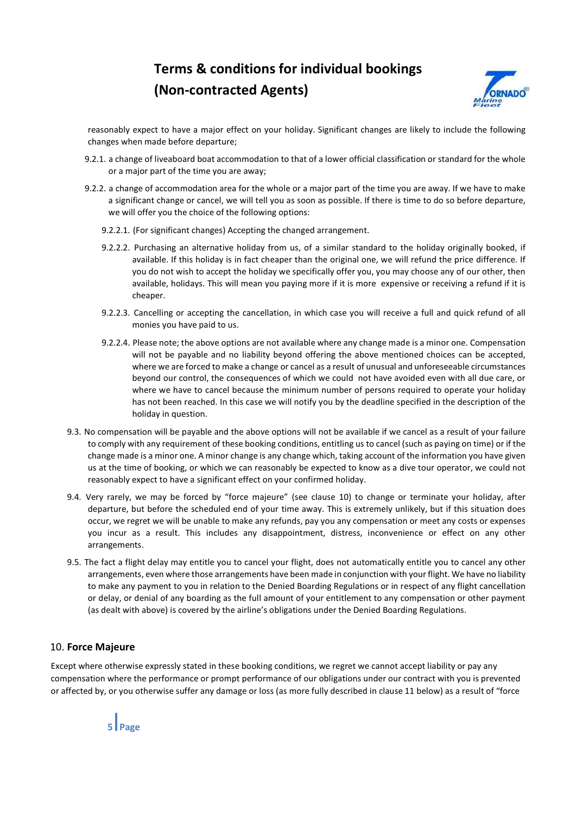

reasonably expect to have a major effect on your holiday. Significant changes are likely to include the following changes when made before departure;

- 9.2.1. a change of liveaboard boat accommodation to that of a lower official classification or standard for the whole or a major part of the time you are away;
- 9.2.2. a change of accommodation area for the whole or a major part of the time you are away. If we have to make a significant change or cancel, we will tell you as soon as possible. If there is time to do so before departure, we will offer you the choice of the following options:
	- 9.2.2.1. (For significant changes) Accepting the changed arrangement.
	- 9.2.2.2. Purchasing an alternative holiday from us, of a similar standard to the holiday originally booked, if available. If this holiday is in fact cheaper than the original one, we will refund the price difference. If you do not wish to accept the holiday we specifically offer you, you may choose any of our other, then available, holidays. This will mean you paying more if it is more expensive or receiving a refund if it is cheaper.
	- 9.2.2.3. Cancelling or accepting the cancellation, in which case you will receive a full and quick refund of all monies you have paid to us.
	- 9.2.2.4. Please note; the above options are not available where any change made is a minor one. Compensation will not be payable and no liability beyond offering the above mentioned choices can be accepted, where we are forced to make a change or cancel as a result of unusual and unforeseeable circumstances beyond our control, the consequences of which we could not have avoided even with all due care, or where we have to cancel because the minimum number of persons required to operate your holiday has not been reached. In this case we will notify you by the deadline specified in the description of the holiday in question.
- 9.3. No compensation will be payable and the above options will not be available if we cancel as a result of your failure to comply with any requirement of these booking conditions, entitling us to cancel (such as paying on time) or if the change made is a minor one. A minor change is any change which, taking account of the information you have given us at the time of booking, or which we can reasonably be expected to know as a dive tour operator, we could not reasonably expect to have a significant effect on your confirmed holiday.
- 9.4. Very rarely, we may be forced by "force majeure" (see clause 10) to change or terminate your holiday, after departure, but before the scheduled end of your time away. This is extremely unlikely, but if this situation does occur, we regret we will be unable to make any refunds, pay you any compensation or meet any costs or expenses you incur as a result. This includes any disappointment, distress, inconvenience or effect on any other arrangements.
- 9.5. The fact a flight delay may entitle you to cancel your flight, does not automatically entitle you to cancel any other arrangements, even where those arrangements have been made in conjunction with your flight. We have no liability to make any payment to you in relation to the Denied Boarding Regulations or in respect of any flight cancellation or delay, or denial of any boarding as the full amount of your entitlement to any compensation or other payment (as dealt with above) is covered by the airline's obligations under the Denied Boarding Regulations.

## 10. Force Majeure

Except where otherwise expressly stated in these booking conditions, we regret we cannot accept liability or pay any compensation where the performance or prompt performance of our obligations under our contract with you is prevented or affected by, or you otherwise suffer any damage or loss (as more fully described in clause 11 below) as a result of "force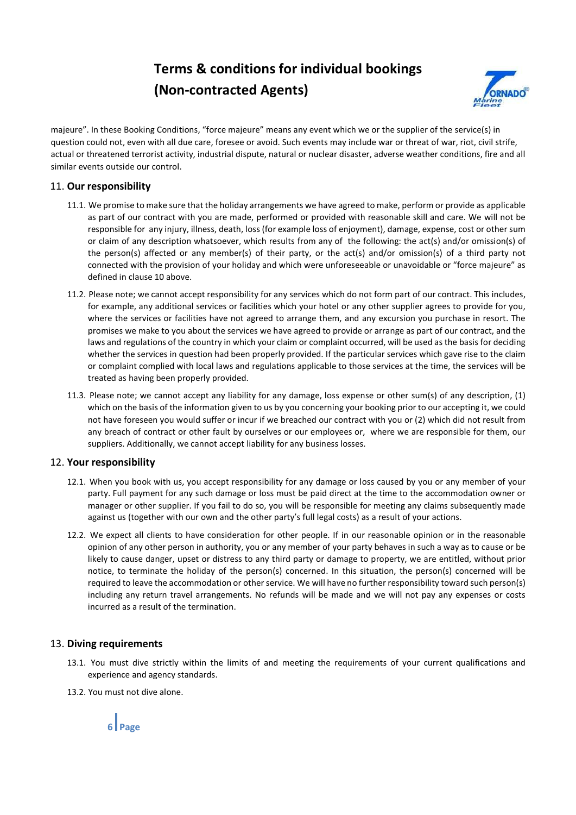

majeure". In these Booking Conditions, "force majeure" means any event which we or the supplier of the service(s) in question could not, even with all due care, foresee or avoid. Such events may include war or threat of war, riot, civil strife, actual or threatened terrorist activity, industrial dispute, natural or nuclear disaster, adverse weather conditions, fire and all similar events outside our control.

## 11. Our responsibility

- 11.1. We promise to make sure that the holiday arrangements we have agreed to make, perform or provide as applicable as part of our contract with you are made, performed or provided with reasonable skill and care. We will not be responsible for any injury, illness, death, loss (for example loss of enjoyment), damage, expense, cost or other sum or claim of any description whatsoever, which results from any of the following: the act(s) and/or omission(s) of the person(s) affected or any member(s) of their party, or the act(s) and/or omission(s) of a third party not connected with the provision of your holiday and which were unforeseeable or unavoidable or "force majeure" as defined in clause 10 above.
- 11.2. Please note; we cannot accept responsibility for any services which do not form part of our contract. This includes, for example, any additional services or facilities which your hotel or any other supplier agrees to provide for you, where the services or facilities have not agreed to arrange them, and any excursion you purchase in resort. The promises we make to you about the services we have agreed to provide or arrange as part of our contract, and the laws and regulations of the country in which your claim or complaint occurred, will be used as the basis for deciding whether the services in question had been properly provided. If the particular services which gave rise to the claim or complaint complied with local laws and regulations applicable to those services at the time, the services will be treated as having been properly provided.
- 11.3. Please note; we cannot accept any liability for any damage, loss expense or other sum(s) of any description, (1) which on the basis of the information given to us by you concerning your booking prior to our accepting it, we could not have foreseen you would suffer or incur if we breached our contract with you or (2) which did not result from any breach of contract or other fault by ourselves or our employees or, where we are responsible for them, our suppliers. Additionally, we cannot accept liability for any business losses.

## 12. Your responsibility

- 12.1. When you book with us, you accept responsibility for any damage or loss caused by you or any member of your party. Full payment for any such damage or loss must be paid direct at the time to the accommodation owner or manager or other supplier. If you fail to do so, you will be responsible for meeting any claims subsequently made against us (together with our own and the other party's full legal costs) as a result of your actions.
- 12.2. We expect all clients to have consideration for other people. If in our reasonable opinion or in the reasonable opinion of any other person in authority, you or any member of your party behaves in such a way as to cause or be likely to cause danger, upset or distress to any third party or damage to property, we are entitled, without prior notice, to terminate the holiday of the person(s) concerned. In this situation, the person(s) concerned will be required to leave the accommodation or other service. We will have no further responsibility toward such person(s) including any return travel arrangements. No refunds will be made and we will not pay any expenses or costs incurred as a result of the termination.

## 13. Diving requirements

13.1. You must dive strictly within the limits of and meeting the requirements of your current qualifications and experience and agency standards.

13.2. You must not dive alone.

6 Page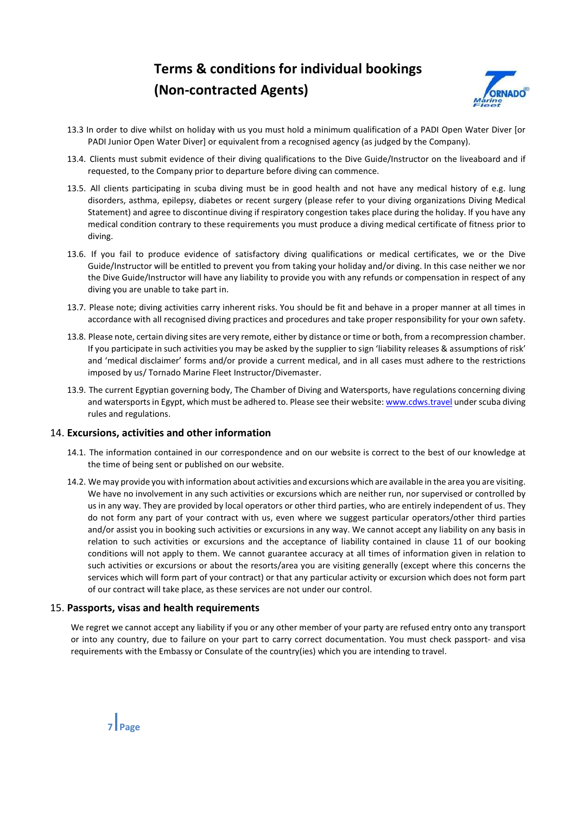

- 13.3 In order to dive whilst on holiday with us you must hold a minimum qualification of a PADI Open Water Diver [or PADI Junior Open Water Diver] or equivalent from a recognised agency (as judged by the Company).
- 13.4. Clients must submit evidence of their diving qualifications to the Dive Guide/Instructor on the liveaboard and if requested, to the Company prior to departure before diving can commence.
- 13.5. All clients participating in scuba diving must be in good health and not have any medical history of e.g. lung disorders, asthma, epilepsy, diabetes or recent surgery (please refer to your diving organizations Diving Medical Statement) and agree to discontinue diving if respiratory congestion takes place during the holiday. If you have any medical condition contrary to these requirements you must produce a diving medical certificate of fitness prior to diving.
- 13.6. If you fail to produce evidence of satisfactory diving qualifications or medical certificates, we or the Dive Guide/Instructor will be entitled to prevent you from taking your holiday and/or diving. In this case neither we nor the Dive Guide/Instructor will have any liability to provide you with any refunds or compensation in respect of any diving you are unable to take part in.
- 13.7. Please note; diving activities carry inherent risks. You should be fit and behave in a proper manner at all times in accordance with all recognised diving practices and procedures and take proper responsibility for your own safety.
- 13.8. Please note, certain diving sites are very remote, either by distance or time or both, from a recompression chamber. If you participate in such activities you may be asked by the supplier to sign 'liability releases & assumptions of risk' and 'medical disclaimer' forms and/or provide a current medical, and in all cases must adhere to the restrictions imposed by us/ Tornado Marine Fleet Instructor/Divemaster.
- 13.9. The current Egyptian governing body, The Chamber of Diving and Watersports, have regulations concerning diving and watersports in Egypt, which must be adhered to. Please see their website: www.cdws.travel under scuba diving rules and regulations.

## 14. Excursions, activities and other information

- 14.1. The information contained in our correspondence and on our website is correct to the best of our knowledge at the time of being sent or published on our website.
- 14.2. We may provide you with information about activities and excursions which are available in the area you are visiting. We have no involvement in any such activities or excursions which are neither run, nor supervised or controlled by us in any way. They are provided by local operators or other third parties, who are entirely independent of us. They do not form any part of your contract with us, even where we suggest particular operators/other third parties and/or assist you in booking such activities or excursions in any way. We cannot accept any liability on any basis in relation to such activities or excursions and the acceptance of liability contained in clause 11 of our booking conditions will not apply to them. We cannot guarantee accuracy at all times of information given in relation to such activities or excursions or about the resorts/area you are visiting generally (except where this concerns the services which will form part of your contract) or that any particular activity or excursion which does not form part of our contract will take place, as these services are not under our control.

## 15. Passports, visas and health requirements

7 Page

We regret we cannot accept any liability if you or any other member of your party are refused entry onto any transport or into any country, due to failure on your part to carry correct documentation. You must check passport- and visa requirements with the Embassy or Consulate of the country(ies) which you are intending to travel.